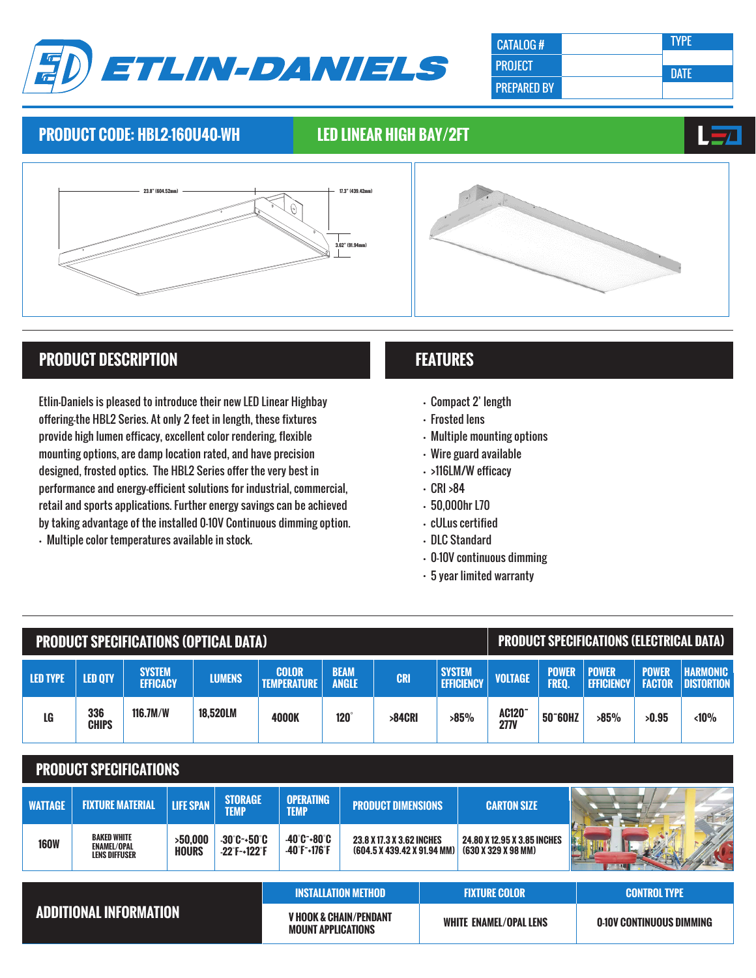

| CATALOG#           | . TYPE'     |
|--------------------|-------------|
| <b>PROJECT</b>     | <b>DATF</b> |
| <b>PREPARED BY</b> |             |

### **PRODUCT CODE: HBL2-160U40-WH LED LINEAR HIGH BAY/2FT**





# **PRODUCT DESCRIPTION**

Etlin-Daniels is pleased to introduce their new LED Linear Highbay offering-the HBL2 Series. At only 2 feet in length, these fixtures provide high lumen efficacy, excellent color rendering, flexible mounting options, are damp location rated, and have precision designed, frosted optics. The HBL2 Series offer the very best in performance and energy-efficient solutions for industrial, commercial, retail and sports applications. Further energy savings can be achieved by taking advantage of the installed 0-10V Continuous dimming option. • Multiple color temperatures available in stock.

# **FEATURES**

- Compact 2' length
- Frosted lens
- Multiple mounting options
- Wire guard available
- >116LM/W efficacy
- CRI >84
- 50,000hr L70
- cULus certified
- DLC Standard
- 0-10V continuous dimming
- 5 year limited warranty

| <b>PRODUCT SPECIFICATIONS (OPTICAL DATA)</b> |                                                                  |                                  |                         |                                                                |                                    |                                                  |                                                                              |           | <b>PRODUCT SPECIFICATIONS (ELECTRICAL DATA)</b> |                                                    |                                   |                       |                                   |                               |                                      |
|----------------------------------------------|------------------------------------------------------------------|----------------------------------|-------------------------|----------------------------------------------------------------|------------------------------------|--------------------------------------------------|------------------------------------------------------------------------------|-----------|-------------------------------------------------|----------------------------------------------------|-----------------------------------|-----------------------|-----------------------------------|-------------------------------|--------------------------------------|
| <b>LED TYPE</b>                              | <b>LED QTY</b>                                                   | <b>SYSTEM</b><br><b>EFFICACY</b> |                         | <b>LUMENS</b>                                                  | <b>COLOR</b><br><b>TEMPERATURE</b> |                                                  | <b>BEAM</b><br><b>CRI</b><br><b>ANGLE</b>                                    |           | <b>SYSTEM</b>                                   | <b>EFFICIENCY</b>                                  | <b>VOLTAGE</b>                    | <b>POWER</b><br>FREQ. | <b>POWER</b><br><b>EFFICIENCY</b> | <b>POWER</b><br><b>FACTOR</b> | <b>HARMONIC</b><br><b>DISTORTION</b> |
| LG                                           | 336<br><b>CHIPS</b>                                              | 116.7M/W                         |                         | 18,520LM                                                       | 4000K                              | $120^\circ$                                      |                                                                              | $>84$ CRI |                                                 | $>85\%$                                            | AC120 <sup>-</sup><br><b>277V</b> | 50~60HZ               | $>85\%$                           | >0.95                         | < 10%                                |
| <b>PRODUCT SPECIFICATIONS</b>                |                                                                  |                                  |                         |                                                                |                                    |                                                  |                                                                              |           |                                                 |                                                    |                                   |                       |                                   |                               |                                      |
| <b>WATTAGE</b>                               | <b>FIXTURE MATERIAL</b>                                          |                                  | <b>LIFE SPAN</b>        | <b>STORAGE</b><br><b>TEMP</b>                                  | <b>OPERATING</b><br><b>TEMP</b>    |                                                  | <b>PRODUCT DIMENSIONS</b>                                                    |           | <b>CARTON SIZE</b>                              |                                                    |                                   |                       |                                   |                               |                                      |
| <b>160W</b>                                  | <b>BAKED WHITE</b><br><b>ENAMEL/OPAL</b><br><b>LENS DIFFUSER</b> |                                  | >50.000<br><b>HOURS</b> | $-30^{\circ}$ C $-50^{\circ}$ C<br>$-22$ F $-122$ F            |                                    | $-40^{\circ}C - 80^{\circ}C$<br>$-40$ F $-176$ F | 23.8 X 17.3 X 3.62 INCHES<br>$(604.5 \times 439.42 \times 91.94 \text{ MM})$ |           |                                                 | 24.80 X 12.95 X 3.85 INCHES<br>(630 X 329 X 98 MM) |                                   |                       |                                   |                               |                                      |
|                                              |                                                                  |                                  |                         |                                                                | <b>INSTALLATION METHOD</b>         |                                                  |                                                                              |           | <b>FIXTURE COLOR</b><br><b>CONTROL TYPE</b>     |                                                    |                                   |                       |                                   |                               |                                      |
| <b>ADDITIONAL INFORMATION</b>                |                                                                  |                                  |                         | <b>V HOOK &amp; CHAIN/PENDANT</b><br><b>MOUNT APPLICATIONS</b> |                                    |                                                  | <b>WHITE ENAMEL/OPAL LENS</b>                                                |           |                                                 |                                                    | <b>0-10V CONTINUOUS DIMMING</b>   |                       |                                   |                               |                                      |